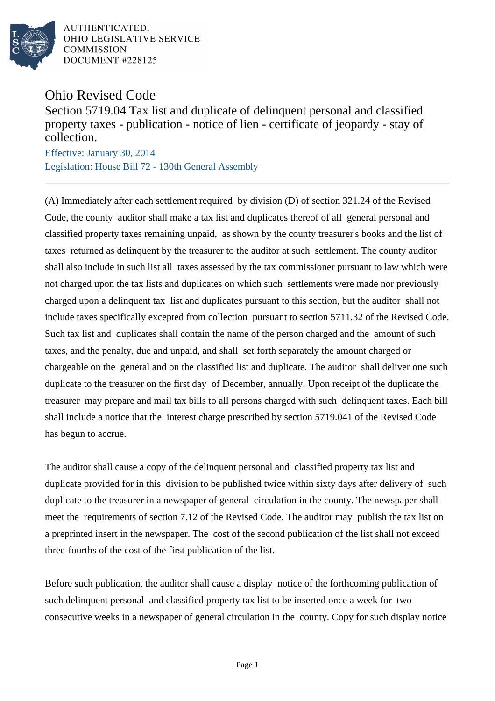

AUTHENTICATED. OHIO LEGISLATIVE SERVICE **COMMISSION** DOCUMENT #228125

Ohio Revised Code

Section 5719.04 Tax list and duplicate of delinquent personal and classified property taxes - publication - notice of lien - certificate of jeopardy - stay of collection.

Effective: January 30, 2014 Legislation: House Bill 72 - 130th General Assembly

(A) Immediately after each settlement required by division (D) of section 321.24 of the Revised Code, the county auditor shall make a tax list and duplicates thereof of all general personal and classified property taxes remaining unpaid, as shown by the county treasurer's books and the list of taxes returned as delinquent by the treasurer to the auditor at such settlement. The county auditor shall also include in such list all taxes assessed by the tax commissioner pursuant to law which were not charged upon the tax lists and duplicates on which such settlements were made nor previously charged upon a delinquent tax list and duplicates pursuant to this section, but the auditor shall not include taxes specifically excepted from collection pursuant to section 5711.32 of the Revised Code. Such tax list and duplicates shall contain the name of the person charged and the amount of such taxes, and the penalty, due and unpaid, and shall set forth separately the amount charged or chargeable on the general and on the classified list and duplicate. The auditor shall deliver one such duplicate to the treasurer on the first day of December, annually. Upon receipt of the duplicate the treasurer may prepare and mail tax bills to all persons charged with such delinquent taxes. Each bill shall include a notice that the interest charge prescribed by section 5719.041 of the Revised Code has begun to accrue.

The auditor shall cause a copy of the delinquent personal and classified property tax list and duplicate provided for in this division to be published twice within sixty days after delivery of such duplicate to the treasurer in a newspaper of general circulation in the county. The newspaper shall meet the requirements of section 7.12 of the Revised Code. The auditor may publish the tax list on a preprinted insert in the newspaper. The cost of the second publication of the list shall not exceed three-fourths of the cost of the first publication of the list.

Before such publication, the auditor shall cause a display notice of the forthcoming publication of such delinquent personal and classified property tax list to be inserted once a week for two consecutive weeks in a newspaper of general circulation in the county. Copy for such display notice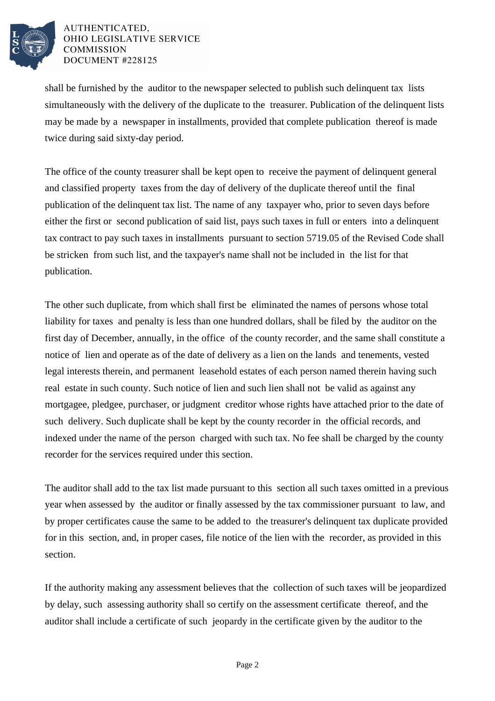

## AUTHENTICATED. OHIO LEGISLATIVE SERVICE **COMMISSION** DOCUMENT #228125

shall be furnished by the auditor to the newspaper selected to publish such delinquent tax lists simultaneously with the delivery of the duplicate to the treasurer. Publication of the delinquent lists may be made by a newspaper in installments, provided that complete publication thereof is made twice during said sixty-day period.

The office of the county treasurer shall be kept open to receive the payment of delinquent general and classified property taxes from the day of delivery of the duplicate thereof until the final publication of the delinquent tax list. The name of any taxpayer who, prior to seven days before either the first or second publication of said list, pays such taxes in full or enters into a delinquent tax contract to pay such taxes in installments pursuant to section 5719.05 of the Revised Code shall be stricken from such list, and the taxpayer's name shall not be included in the list for that publication.

The other such duplicate, from which shall first be eliminated the names of persons whose total liability for taxes and penalty is less than one hundred dollars, shall be filed by the auditor on the first day of December, annually, in the office of the county recorder, and the same shall constitute a notice of lien and operate as of the date of delivery as a lien on the lands and tenements, vested legal interests therein, and permanent leasehold estates of each person named therein having such real estate in such county. Such notice of lien and such lien shall not be valid as against any mortgagee, pledgee, purchaser, or judgment creditor whose rights have attached prior to the date of such delivery. Such duplicate shall be kept by the county recorder in the official records, and indexed under the name of the person charged with such tax. No fee shall be charged by the county recorder for the services required under this section.

The auditor shall add to the tax list made pursuant to this section all such taxes omitted in a previous year when assessed by the auditor or finally assessed by the tax commissioner pursuant to law, and by proper certificates cause the same to be added to the treasurer's delinquent tax duplicate provided for in this section, and, in proper cases, file notice of the lien with the recorder, as provided in this section.

If the authority making any assessment believes that the collection of such taxes will be jeopardized by delay, such assessing authority shall so certify on the assessment certificate thereof, and the auditor shall include a certificate of such jeopardy in the certificate given by the auditor to the